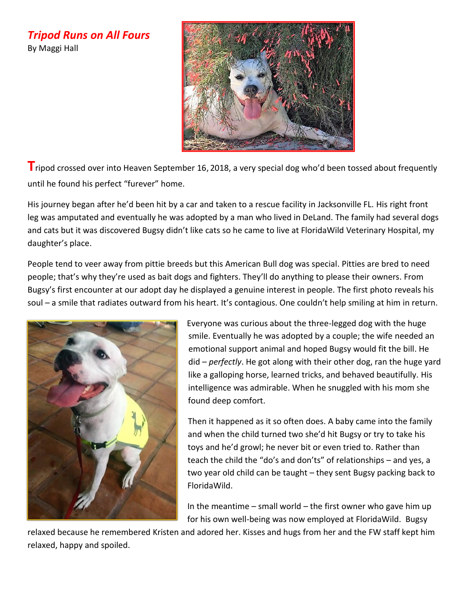*Tripod Runs on All Fours*  By Maggi Hall



**T**ripod crossed over into Heaven September 16, 2018, a very special dog who'd been tossed about frequently until he found his perfect "furever" home.

His journey began after he'd been hit by a car and taken to a rescue facility in Jacksonville FL. His right front leg was amputated and eventually he was adopted by a man who lived in DeLand. The family had several dogs and cats but it was discovered Bugsy didn't like cats so he came to live at FloridaWild Veterinary Hospital, my daughter's place.

People tend to veer away from pittie breeds but this American Bull dog was special. Pitties are bred to need people; that's why they're used as bait dogs and fighters. They'll do anything to please their owners. From Bugsy's first encounter at our adopt day he displayed a genuine interest in people. The first photo reveals his soul – a smile that radiates outward from his heart. It's contagious. One couldn't help smiling at him in return.



Everyone was curious about the three-legged dog with the huge smile. Eventually he was adopted by a couple; the wife needed an emotional support animal and hoped Bugsy would fit the bill. He did – *perfectly*. He got along with their other dog, ran the huge yard like a galloping horse, learned tricks, and behaved beautifully. His intelligence was admirable. When he snuggled with his mom she found deep comfort.

Then it happened as it so often does. A baby came into the family and when the child turned two she'd hit Bugsy or try to take his toys and he'd growl; he never bit or even tried to. Rather than teach the child the "do's and don'ts" of relationships – and yes, a two year old child can be taught – they sent Bugsy packing back to FloridaWild.

In the meantime  $-$  small world  $-$  the first owner who gave him up for his own well-being was now employed at FloridaWild. Bugsy

relaxed because he remembered Kristen and adored her. Kisses and hugs from her and the FW staff kept him relaxed, happy and spoiled.